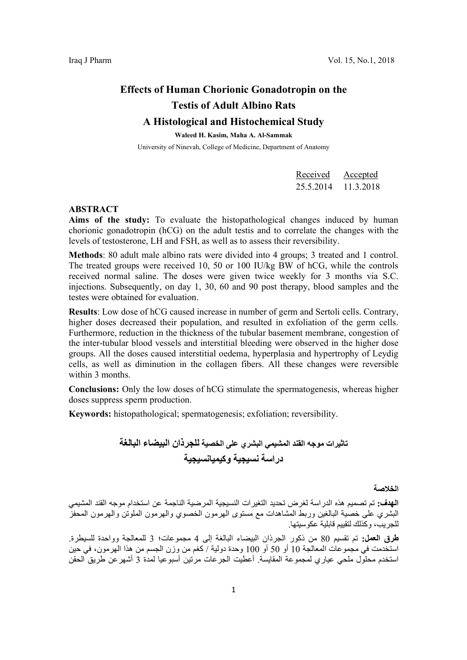# Effects of Human Chorionic Gonadotropin on the Testis of Adult Albino Rats

## A Histological and Histochemical Study

Waleed H. Kasim, Maha A. Al-Sammak

University of Ninevah, College of Medicine, Department of Anatomy

| Received  | Accepted  |
|-----------|-----------|
| 25.5.2014 | 11.3.2018 |

#### ABSTRACT

Aims of the study: To evaluate the histopathological changes induced by human chorionic gonadotropin (hCG) on the adult testis and to correlate the changes with the levels of testosterone, LH and FSH, as well as to assess their reversibility.

Methods: 80 adult male albino rats were divided into 4 groups; 3 treated and 1 control. The treated groups were received 10, 50 or 100 IU/kg BW of hCG, while the controls received normal saline. The doses were given twice weekly for 3 months via S.C. injections. Subsequently, on day 1, 30, 60 and 90 post therapy, blood samples and the testes were obtained for evaluation.

Results: Low dose of hCG caused increase in number of germ and Sertoli cells. Contrary, higher doses decreased their population, and resulted in exfoliation of the germ cells. Furthermore, reduction in the thickness of the tubular basement membrane, congestion of the inter-tubular blood vessels and interstitial bleeding were observed in the higher dose groups. All the doses caused interstitial oedema, hyperplasia and hypertrophy of Leydig cells, as well as diminution in the collagen fibers. All these changes were reversible within 3 months.

Conclusions: Only the low doses of hCG stimulate the spermatogenesis, whereas higher doses suppress sperm production.

Keywords: histopathological; spermatogenesis; exfoliation; reversibility.

تاثيرات موجه القند المشيمي البشري على الخصية للجرذان البيضاء البالغة دراسة نسيجية وكيميانسيجية

الخلاصة

الهدف: تم تصميم هذه الدراسة لغرض تحديد التغيرات النسيجية المرضية الناجمة عن استخدام موجه القند المشيمي البشري على خصية البالغين وربط المشاهدات مع مستوى الهرمون الخصوي والهرمون الملوتن والهرمون المحفز للجريب، وكذلك لتقييم قابلية عكوسيتها.

طرق العمل: تم تقسيم 80 من ذكور الجرذان البيضاء البالغة إلى 4 مجموعات؛ 3 للمعالجة وواحدة للسيطرة. استخدمت في مجموعات المعالجة 10 أو 50 أو 100 وحدة دولية / كغم من وزن الجسم من هذا الهرمون، في حين استخدم محلول ملحي عياري لمجموعة المقايسة. أعطيت الجرعات مرتين أسبوعيا لمدة 3 أشهرعن طريق الحقن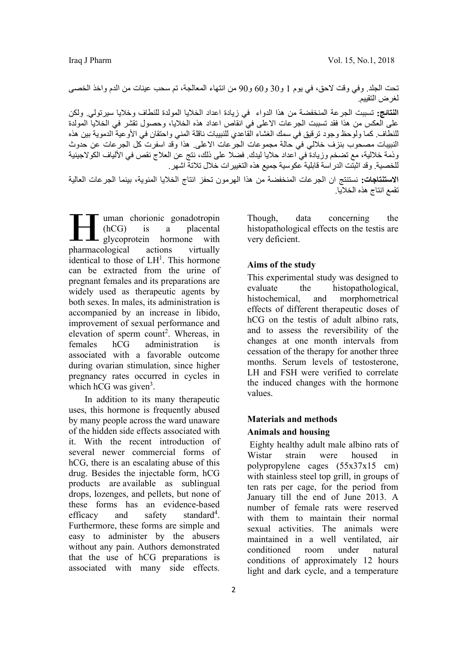تحت الجلد. وفي وقت لاحق، في يوم 1 و30 و60 و90 من انتهاء المعالجة، تم سحب عينات من الدم واخذ الخصى لغرض التقييم.

النتائج: تسببت الجرعة المنخفضة من هذا الدواء في زيادة اعداد الخلايا المولدة للنطاف وخلايا سيرتولي. ولكن على العكس من هذا فقد تسببت الجرعات الاعلى في انقاص اعداد هذه الخلايا، وحصول تقشر في الخلايا المولدة للنطاف. كما ولوحظ وجود ترقيق في سمك الغشاء القاعدي للنبيبات ناقلة المني واحتقان في الأوعية الدموية بين هذه النبيبات مصحوب بنزف خلالي في حالة مجموعات الجرعات الاعلى. هذا وقد اسفرت كل الجرعات عن حدوث وذمة خلالية، مع تضخم وزيادة في اعداد حلايا ليدك. فضلا على ذلك، نتج عن العلاج نقص في الألياف الكولاجينية للخصية. وقد اثبتت الدراسة قابلية عكوسية جميع هذه التغييرات خلال تلاتة اشهر.

الاستنتاجات: نستنتج ان الجرعات المنخفضة من هذا الهرمون تحفز انتاج الخلايا المنوية، بينما الجرعات العالية تقمع انتاج هذه الخلايا.

uman chorionic gonadotropin (hCG) is a placental **L** glycoprotein hormone with I uman chorionic gonadotropin<br>
(hCG) is a placental<br>
glycoprotein hormone with<br>
pharmacological actions virtually identical to those of  $LH<sup>1</sup>$ . This hormone can be extracted from the urine of pregnant females and its preparations are widely used as therapeutic agents by both sexes. In males, its administration is accompanied by an increase in libido, improvement of sexual performance and elevation of sperm count<sup>2</sup>. Whereas, in females hCG administration is associated with a favorable outcome during ovarian stimulation, since higher pregnancy rates occurred in cycles in which hCG was given<sup>3</sup>.

 In addition to its many therapeutic uses, this hormone is frequently abused by many people across the ward unaware of the hidden side effects associated with it. With the recent introduction of several newer commercial forms of hCG, there is an escalating abuse of this drug. Besides the injectable form, hCG products are available as sublingual drops, lozenges, and pellets, but none of these forms has an evidence-based efficacy and safety standard<sup>4</sup>. Furthermore, these forms are simple and easy to administer by the abusers without any pain. Authors demonstrated that the use of hCG preparations is associated with many side effects.

Though, data concerning the histopathological effects on the testis are very deficient.

#### Aims of the study

This experimental study was designed to evaluate the histopathological, histochemical, and morphometrical effects of different therapeutic doses of hCG on the testis of adult albino rats, and to assess the reversibility of the changes at one month intervals from cessation of the therapy for another three months. Serum levels of testosterone, LH and FSH were verified to correlate the induced changes with the hormone values.

### Materials and methods Animals and housing

 Eighty healthy adult male albino rats of Wistar strain were housed in polypropylene cages (55x37x15 cm) with stainless steel top grill, in groups of ten rats per cage, for the period from January till the end of June 2013. A number of female rats were reserved with them to maintain their normal sexual activities. The animals were maintained in a well ventilated, air conditioned room under natural conditions of approximately 12 hours light and dark cycle, and a temperature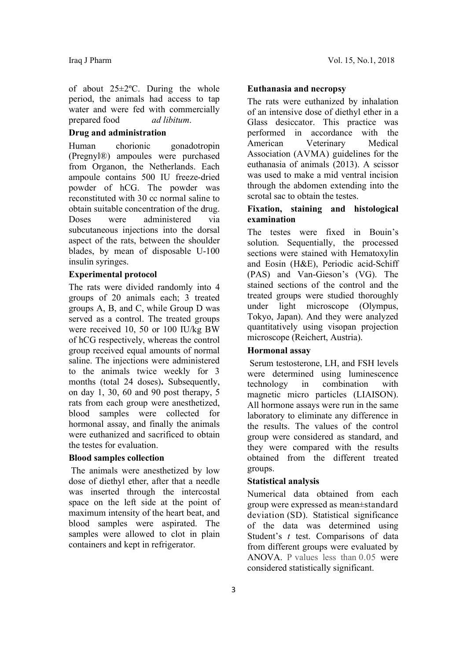of about 25±2ºC. During the whole period, the animals had access to tap water and were fed with commercially prepared food ad libitum.

#### Drug and administration

Human chorionic gonadotropin (Pregnyl®) ampoules were purchased from Organon, the Netherlands. Each ampoule contains 500 IU freeze-dried powder of hCG. The powder was reconstituted with 30 cc normal saline to obtain suitable concentration of the drug. Doses were administered via subcutaneous injections into the dorsal aspect of the rats, between the shoulder blades, by mean of disposable U-100 insulin syringes.

#### Experimental protocol

The rats were divided randomly into 4 groups of 20 animals each; 3 treated groups A, B, and C, while Group D was served as a control. The treated groups were received 10, 50 or 100 IU/kg BW of hCG respectively, whereas the control group received equal amounts of normal saline. The injections were administered to the animals twice weekly for 3 months (total 24 doses). Subsequently, on day 1, 30, 60 and 90 post therapy, 5 rats from each group were anesthetized, blood samples were collected for hormonal assay, and finally the animals were euthanized and sacrificed to obtain the testes for evaluation.

#### Blood samples collection

 The animals were anesthetized by low dose of diethyl ether, after that a needle was inserted through the intercostal space on the left side at the point of maximum intensity of the heart beat, and blood samples were aspirated. The samples were allowed to clot in plain containers and kept in refrigerator.

#### Euthanasia and necropsy

The rats were euthanized by inhalation of an intensive dose of diethyl ether in a Glass desiccator. This practice was performed in accordance with the American Veterinary Medical Association (AVMA) guidelines for the euthanasia of animals (2013). A scissor was used to make a mid ventral incision through the abdomen extending into the scrotal sac to obtain the testes.

#### Fixation, staining and histological examination

The testes were fixed in Bouin's solution. Sequentially, the processed sections were stained with Hematoxylin and Eosin (H&E), Periodic acid-Schiff (PAS) and Van-Gieson's (VG). The stained sections of the control and the treated groups were studied thoroughly under light microscope (Olympus, Tokyo, Japan). And they were analyzed quantitatively using visopan projection microscope (Reichert, Austria).

#### Hormonal assay

 Serum testosterone, LH, and FSH levels were determined using luminescence technology in combination with magnetic micro particles (LIAISON). All hormone assays were run in the same laboratory to eliminate any difference in the results. The values of the control group were considered as standard, and they were compared with the results obtained from the different treated groups.

#### Statistical analysis

Numerical data obtained from each group were expressed as mean±standard deviation (SD). Statistical significance of the data was determined using Student's *t* test. Comparisons of data from different groups were evaluated by ANOVA. P values less than 0.05 were considered statistically significant.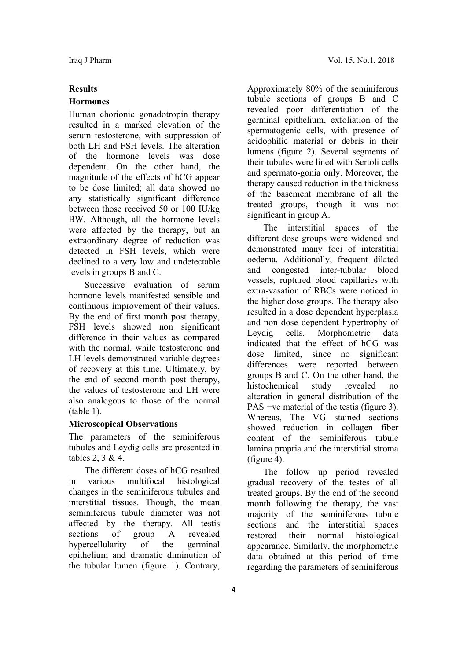#### Results

#### Hormones

Human chorionic gonadotropin therapy resulted in a marked elevation of the serum testosterone, with suppression of both LH and FSH levels. The alteration of the hormone levels was dose dependent. On the other hand, the magnitude of the effects of hCG appear to be dose limited; all data showed no any statistically significant difference between those received 50 or 100 IU/kg BW. Although, all the hormone levels were affected by the therapy, but an extraordinary degree of reduction was detected in FSH levels, which were declined to a very low and undetectable levels in groups B and C.

 Successive evaluation of serum hormone levels manifested sensible and continuous improvement of their values. By the end of first month post therapy, FSH levels showed non significant difference in their values as compared with the normal, while testosterone and LH levels demonstrated variable degrees of recovery at this time. Ultimately, by the end of second month post therapy, the values of testosterone and LH were also analogous to those of the normal (table 1).

#### Microscopical Observations

The parameters of the seminiferous tubules and Leydig cells are presented in tables 2, 3 & 4.

 The different doses of hCG resulted in various multifocal histological changes in the seminiferous tubules and interstitial tissues. Though, the mean seminiferous tubule diameter was not affected by the therapy. All testis sections of group A revealed hypercellularity of the germinal epithelium and dramatic diminution of the tubular lumen (figure 1). Contrary,

Approximately 80% of the seminiferous tubule sections of groups B and C revealed poor differentiation of the germinal epithelium, exfoliation of the spermatogenic cells, with presence of acidophilic material or debris in their lumens (figure 2). Several segments of their tubules were lined with Sertoli cells and spermato-gonia only. Moreover, the therapy caused reduction in the thickness of the basement membrane of all the treated groups, though it was not significant in group A.

 The interstitial spaces of the different dose groups were widened and demonstrated many foci of interstitial oedema. Additionally, frequent dilated and congested inter-tubular blood vessels, ruptured blood capillaries with extra-vasation of RBCs were noticed in the higher dose groups. The therapy also resulted in a dose dependent hyperplasia and non dose dependent hypertrophy of Leydig cells. Morphometric data indicated that the effect of hCG was dose limited, since no significant differences were reported between groups B and C. On the other hand, the histochemical study revealed no alteration in general distribution of the PAS +ve material of the testis (figure 3). Whereas, The VG stained sections showed reduction in collagen fiber content of the seminiferous tubule lamina propria and the interstitial stroma (figure 4).

 The follow up period revealed gradual recovery of the testes of all treated groups. By the end of the second month following the therapy, the vast majority of the seminiferous tubule sections and the interstitial spaces restored their normal histological appearance. Similarly, the morphometric data obtained at this period of time regarding the parameters of seminiferous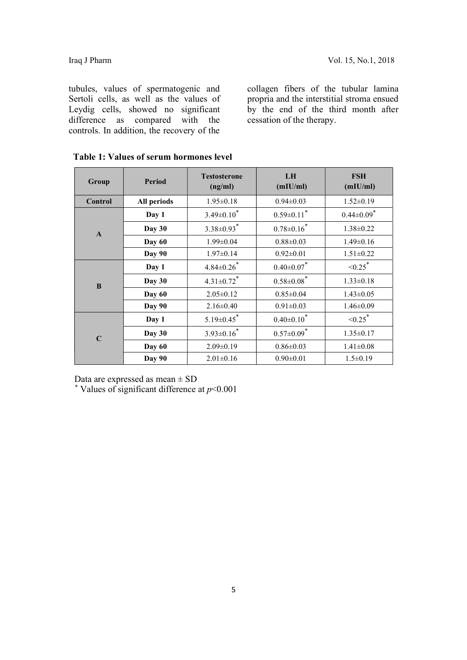tubules, values of spermatogenic and Sertoli cells, as well as the values of Leydig cells, showed no significant difference as compared with the controls. In addition, the recovery of the

collagen fibers of the tubular lamina propria and the interstitial stroma ensued by the end of the third month after cessation of the therapy.

| Group        | <b>Period</b> | <b>Testosterone</b><br>(ng/ml) | LH<br>(mIU/ml)               | <b>FSH</b><br>(mIU/ml)       |  |
|--------------|---------------|--------------------------------|------------------------------|------------------------------|--|
| Control      | All periods   | $1.95 \pm 0.18$                | $0.94 \pm 0.03$              | $1.52 \pm 0.19$              |  |
|              | Day 1         | $3.49 \pm 0.10^*$              | $0.59 \pm 0.11$ <sup>*</sup> | $0.44 \pm 0.09$ <sup>*</sup> |  |
| $\mathbf{A}$ | Day 30        | $3.38 \pm 0.93$ <sup>*</sup>   | $0.78 \pm 0.16$ <sup>*</sup> | $1.38 \pm 0.22$              |  |
|              | Day 60        | $1.99 \pm 0.04$                | $0.88 \pm 0.03$              | $1.49 \pm 0.16$              |  |
|              | Day 90        | $1.97 \pm 0.14$                | $0.92 \pm 0.01$              | $1.51 \pm 0.22$              |  |
|              | Day 1         | $4.84 \pm 0.26$ <sup>*</sup>   | $0.40{\pm}0.07$              | $\leq 0.25$ *                |  |
| $\bf{B}$     | Day 30        | $4.31 \pm 0.72$ <sup>*</sup>   | $0.58 \pm 0.08$ <sup>*</sup> | $1.33 \pm 0.18$              |  |
|              | Day 60        | $2.05 \pm 0.12$                | $0.85 \pm 0.04$              | $1.43 \pm 0.05$              |  |
|              | Day 90        | $2.16 \pm 0.40$                | $0.91 \pm 0.03$              | $1.46 \pm 0.09$              |  |
| $\mathbf C$  | Day 1         | $5.19 \pm 0.45$ <sup>*</sup>   | $0.40{\pm}0.10^*$            | $\leq 0.25$ *                |  |
|              | Day 30        | $3.93 \pm 0.16^*$              | $0.57 \pm 0.09$ <sup>*</sup> | $1.35 \pm 0.17$              |  |
|              | Day 60        | $2.09 \pm 0.19$                | $0.86 \pm 0.03$              | $1.41 \pm 0.08$              |  |
|              | Day 90        | $2.01 \pm 0.16$                | $0.90 \pm 0.01$              | $1.5 \pm 0.19$               |  |

| Table 1: Values of serum hormones level |  |  |  |  |  |
|-----------------------------------------|--|--|--|--|--|
|-----------------------------------------|--|--|--|--|--|

Data are expressed as mean ± SD

\* Values of significant difference at  $p<0.001$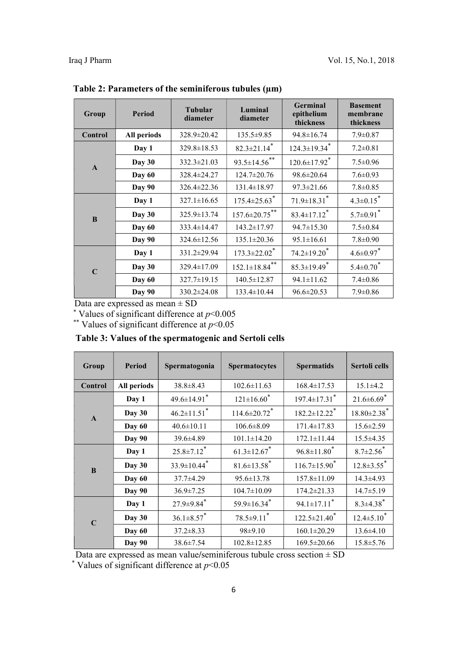| <b>Period</b><br>Group |             | <b>Tubular</b><br>diameter | Luminal<br>diameter             | <b>Germinal</b><br>epithelium<br>thickness | <b>Basement</b><br>membrane<br>thickness |
|------------------------|-------------|----------------------------|---------------------------------|--------------------------------------------|------------------------------------------|
| Control                | All periods | 328.9±20.42                | $135.5 \pm 9.85$                | $94.8 \pm 16.74$                           | $7.9 \pm 0.87$                           |
|                        | Day 1       | $329.8 \pm 18.53$          | $82.3 \pm 21.14$ <sup>*</sup>   | $124.3 \pm 19.34$ <sup>*</sup>             | $7.2 \pm 0.81$                           |
| $\mathbf{A}$           | Day 30      | $332.3 \pm 21.03$          | $93.5 \pm 14.56$ **             | $120.6 \pm 17.92$ <sup>*</sup>             | $7.5 \pm 0.96$                           |
|                        | Day 60      | 328.4±24.27                | $124.7 \pm 20.76$               | $98.6 \pm 20.64$                           | $7.6 \pm 0.93$                           |
|                        | Day 90      | $326.4 \pm 22.36$          | $131.4 \pm 18.97$               | $97.3 \pm 21.66$                           | $7.8 \pm 0.85$                           |
| B                      | Day 1       | $327.1 \pm 16.65$          | $175.4 \pm 25.63$ <sup>*</sup>  | $71.9 \pm 18.31$ <sup>*</sup>              | $4.3 \pm 0.15$ <sup>*</sup>              |
|                        | Day 30      | 325.9±13.74                | $157.6 \pm 20.75$ **            | $83.4 \pm 17.12$ <sup>*</sup>              | $5.7 \pm 0.91$ <sup>*</sup>              |
|                        | Day 60      | 333.4±14.47                | 143.2±17.97                     | $94.7 \pm 15.30$                           | $7.5 \pm 0.84$                           |
|                        | Day 90      | $324.6 \pm 12.56$          | $135.1 \pm 20.36$               | $95.1 \pm 16.61$                           | $7.8 \pm 0.90$                           |
| $\mathbf C$            | Day 1       | 331.2±29.94                | $173.3 \pm 22.02$ <sup>*</sup>  | $74.2 \pm 19.20$ <sup>*</sup>              | $4.6 \pm 0.97$                           |
|                        | Day 30      | $329.4 \pm 17.09$          | $152.1 \pm 18.84$ <sup>**</sup> | $85.3 \pm 19.49$ <sup>*</sup>              | $5.4 \pm 0.70$ <sup>*</sup>              |
|                        | Day 60      | $327.7 \pm 19.15$          | $140.5 \pm 12.87$               | $94.1 \pm 11.62$                           | $7.4 \pm 0.86$                           |
|                        | Day 90      | $330.2 \pm 24.08$          | $133.4 \pm 10.44$               | $96.6 \pm 20.53$                           | $7.9 \pm 0.86$                           |

Table 2: Parameters of the seminiferous tubules (µm)

Data are expressed as mean  $\pm$  SD

\* Values of significant difference at  $p$ <0.005

\*\* Values of significant difference at  $p$  < 0.05

| Table 3: Values of the spermatogenic and Sertoli cells |
|--------------------------------------------------------|
|--------------------------------------------------------|

| Group        | Period        | Spermatogonia                 | <b>Spermatocytes</b>           | <b>Spermatids</b>              | Sertoli cells                |
|--------------|---------------|-------------------------------|--------------------------------|--------------------------------|------------------------------|
| Control      | All periods   | $38.8 \pm 8.43$               | $102.6 \pm 11.63$              | $168.4 \pm 17.53$              | $15.1 \pm 4.2$               |
| $\mathbf{A}$ | Day 1         | $49.6 \pm 14.91$ <sup>*</sup> | $121\pm16.60$ <sup>*</sup>     | $197.4 \pm 17.31$ <sup>*</sup> | $21.6 \pm 6.69$ <sup>*</sup> |
|              | Day 30        | $46.2 \pm 11.51$ <sup>*</sup> | $114.6 \pm 20.72$ <sup>*</sup> | $182.2 \pm 12.22$ <sup>*</sup> | $18.80\pm2.38$ <sup>*</sup>  |
|              | Day 60        | $40.6 \pm 10.11$              | $106.6 \pm 8.09$               | $171.4 \pm 17.83$              | $15.6 \pm 2.59$              |
|              | Day 90        | $39.6 \pm 4.89$               | $101.1 \pm 14.20$              | $172.1 \pm 11.44$              | $15.5 \pm 4.35$              |
| B            | Day 1         | $25.8 \pm 7.12$ <sup>*</sup>  | $61.3 \pm 12.67$ <sup>*</sup>  | $96.8 \pm 11.80$ <sup>*</sup>  | $8.7 \pm 2.56$ <sup>*</sup>  |
|              | Day 30        | $33.9 \pm 10.44$ <sup>*</sup> | $81.6 \pm 13.58$ <sup>*</sup>  | $116.7 \pm 15.90$ <sup>*</sup> | $12.8 \pm 3.55$ <sup>*</sup> |
|              | Day 60        | 37.7±4.29                     | $95.6 \pm 13.78$               | $157.8 \pm 11.09$              | $14.3 \pm 4.93$              |
|              | Day 90        | $36.9 \pm 7.25$               | $104.7 \pm 10.09$              | $174.2 \pm 21.33$              | $14.7 \pm 5.19$              |
| $\mathbf C$  | Day 1         | $27.9 \pm 9.84$ <sup>*</sup>  | $59.9 \pm 16.34$ <sup>*</sup>  | $94.1 \pm 17.11$ <sup>*</sup>  | $8.3 \pm 4.38$ <sup>*</sup>  |
|              | Day 30        | $36.1 \pm 8.57$ *             | $78.5 \pm 9.11$ *              | $122.5 \pm 21.40$ <sup>*</sup> | $12.4 \pm 5.10^*$            |
|              | Day 60        | $37.2 \pm 8.33$               | $98 \pm 9.10$                  | $160.1 \pm 20.29$              | $13.6 \pm 4.10$              |
|              | <b>Day 90</b> | $38.6 \pm 7.54$               | $102.8 \pm 12.85$              | $169.5 \pm 20.66$              | $15.8 \pm 5.76$              |

Data are expressed as mean value/seminiferous tubule cross section  $\pm$  SD

\* Values of significant difference at  $p<0.05$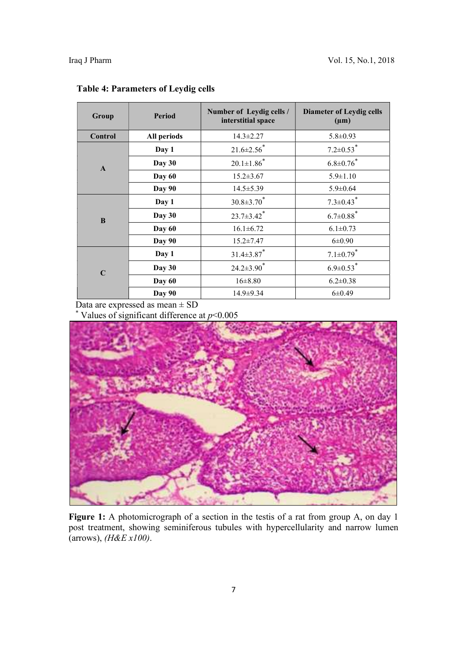| Group        | <b>Period</b> | Number of Leydig cells /<br>interstitial space | <b>Diameter of Leydig cells</b><br>$(\mu m)$ |
|--------------|---------------|------------------------------------------------|----------------------------------------------|
| Control      | All periods   | $14.3 \pm 2.27$                                | $5.8 \pm 0.93$                               |
|              | Day 1         | $21.6 \pm 2.56$                                | $7.2 \pm 0.53$ <sup>*</sup>                  |
| $\mathbf{A}$ | Day 30        | $20.1{\pm}1.86^{*}$                            | $6.8{\pm}0.76^{*}$                           |
|              | Day 60        | $15.2 \pm 3.67$                                | $5.9 \pm 1.10$                               |
|              | Day 90        | $14.5 \pm 5.39$                                | $5.9 \pm 0.64$                               |
|              | Day 1         | $30.8 \pm 3.70$ <sup>*</sup>                   | $7.3 \pm 0.43$ <sup>*</sup>                  |
| $\bf{B}$     | Day 30        | $23.7 \pm 3.42$ <sup>*</sup>                   | $6.7{\pm}0.88^{*}$                           |
|              | Day 60        | $16.1 \pm 6.72$                                | $6.1 \pm 0.73$                               |
|              | Day 90        | $15.2 \pm 7.47$                                | $6 \pm 0.90$                                 |
| $\mathbf C$  | Day 1         | $31.4 \pm 3.87$ <sup>*</sup>                   | $7.1 \pm 0.79$ <sup>*</sup>                  |
|              | Day 30        | $24.2 \pm 3.90$ <sup>*</sup>                   | $6.9 \pm 0.53$ <sup>*</sup>                  |
|              | Day 60        | $16 \pm 8.80$                                  | $6.2 \pm 0.38$                               |
|              | Day 90        | $14.9 \pm 9.34$                                | $6\pm 0.49$                                  |

#### Table 4: Parameters of Leydig cells

Data are expressed as mean  $\pm$  SD

\* Values of significant difference at  $p<0.005$ 



Figure 1: A photomicrograph of a section in the testis of a rat from group A, on day 1 post treatment, showing seminiferous tubules with hypercellularity and narrow lumen (arrows),  $(H \& E \, x100)$ .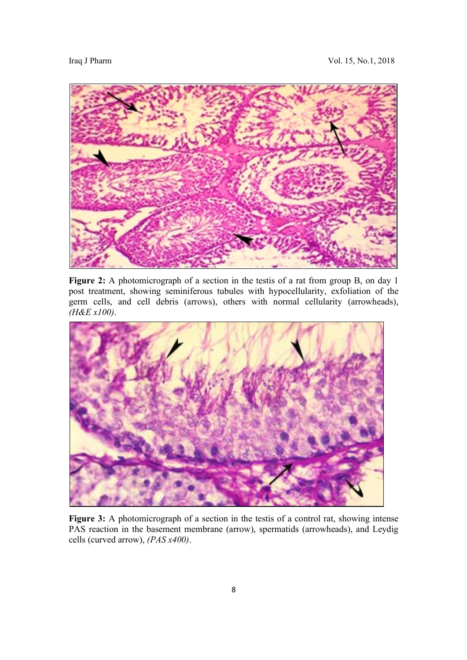

Figure 2: A photomicrograph of a section in the testis of a rat from group B, on day 1 post treatment, showing seminiferous tubules with hypocellularity, exfoliation of the germ cells, and cell debris (arrows), others with normal cellularity (arrowheads), (H&E x100).



Figure 3: A photomicrograph of a section in the testis of a control rat, showing intense PAS reaction in the basement membrane (arrow), spermatids (arrowheads), and Leydig cells (curved arrow), (PAS x400).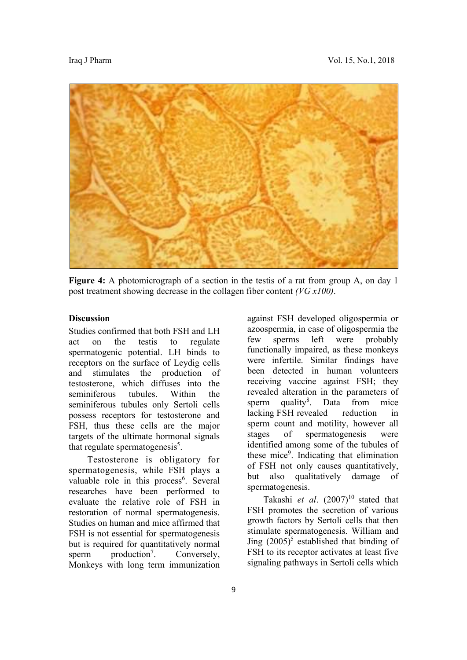

Figure 4: A photomicrograph of a section in the testis of a rat from group A, on day 1 post treatment showing decrease in the collagen fiber content (VG x100).

#### **Discussion**

Studies confirmed that both FSH and LH act on the testis to regulate spermatogenic potential. LH binds to receptors on the surface of Leydig cells and stimulates the production of testosterone, which diffuses into the seminiferous tubules. Within the seminiferous tubules only Sertoli cells possess receptors for testosterone and FSH, thus these cells are the major targets of the ultimate hormonal signals that regulate spermatogenesis $<sup>5</sup>$ .</sup>

 Testosterone is obligatory for spermatogenesis, while FSH plays a valuable role in this process<sup>6</sup>. Several researches have been performed to evaluate the relative role of FSH in restoration of normal spermatogenesis. Studies on human and mice affirmed that FSH is not essential for spermatogenesis but is required for quantitatively normal sperm  $production<sup>7</sup>$ . . Conversely, Monkeys with long term immunization

against FSH developed oligospermia or azoospermia, in case of oligospermia the few sperms left were probably functionally impaired, as these monkeys were infertile. Similar findings have been detected in human volunteers receiving vaccine against FSH; they revealed alteration in the parameters of sperm quality $8$ . . Data from mice lacking FSH revealed reduction in sperm count and motility, however all stages of spermatogenesis were identified among some of the tubules of these mice<sup>9</sup>. Indicating that elimination of FSH not only causes quantitatively, but also qualitatively damage of spermatogenesis.

Takashi et al.  $(2007)^{10}$  stated that FSH promotes the secretion of various growth factors by Sertoli cells that then stimulate spermatogenesis. William and Jing  $(2005)^5$  established that binding of FSH to its receptor activates at least five signaling pathways in Sertoli cells which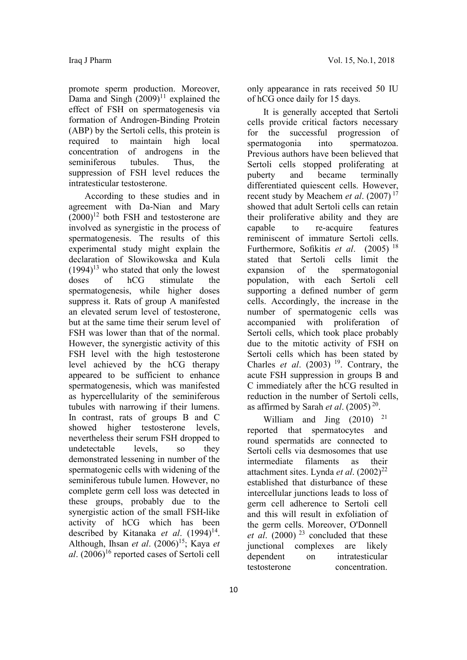promote sperm production. Moreover, Dama and Singh  $(2009)^{11}$  explained the effect of FSH on spermatogenesis via formation of Androgen-Binding Protein (ABP) by the Sertoli cells, this protein is required to maintain high local concentration of androgens in the seminiferous tubules. Thus, the suppression of FSH level reduces the intratesticular testosterone.

 According to these studies and in agreement with Da-Nian and Mary  $(2000)^{12}$  both FSH and testosterone are involved as synergistic in the process of spermatogenesis. The results of this experimental study might explain the declaration of Slowikowska and Kula  $(1994)^{13}$  who stated that only the lowest doses of hCG stimulate the spermatogenesis, while higher doses suppress it. Rats of group A manifested an elevated serum level of testosterone, but at the same time their serum level of FSH was lower than that of the normal. However, the synergistic activity of this FSH level with the high testosterone level achieved by the hCG therapy appeared to be sufficient to enhance spermatogenesis, which was manifested as hypercellularity of the seminiferous tubules with narrowing if their lumens. In contrast, rats of groups B and C showed higher testosterone levels, nevertheless their serum FSH dropped to undetectable levels, so they demonstrated lessening in number of the spermatogenic cells with widening of the seminiferous tubule lumen. However, no complete germ cell loss was detected in these groups, probably due to the synergistic action of the small FSH-like activity of hCG which has been described by Kitanaka et al.  $(1994)^{14}$ . Although, Ihsan et al.  $(2006)^{15}$ ; Kaya et al.  $(2006)^{16}$  reported cases of Sertoli cell

only appearance in rats received 50 IU of hCG once daily for 15 days.

 It is generally accepted that Sertoli cells provide critical factors necessary for the successful progression of spermatogonia into spermatozoa. Previous authors have been believed that Sertoli cells stopped proliferating at puberty and became terminally differentiated quiescent cells. However, recent study by Meachem et al.  $(2007)^{17}$ showed that adult Sertoli cells can retain their proliferative ability and they are capable to re-acquire features reminiscent of immature Sertoli cells. Furthermore, Sofikitis *et al.* (2005)<sup>18</sup> stated that Sertoli cells limit the expansion of the spermatogonial population, with each Sertoli cell supporting a defined number of germ cells. Accordingly, the increase in the number of spermatogenic cells was accompanied with proliferation of Sertoli cells, which took place probably due to the mitotic activity of FSH on Sertoli cells which has been stated by Charles et al.  $(2003)^{19}$ . Contrary, the acute FSH suppression in groups B and C immediately after the hCG resulted in reduction in the number of Sertoli cells, as affirmed by Sarah *et al.*  $(2005)^{20}$ .

William and Jing  $(2010)^{-21}$ reported that spermatocytes and round spermatids are connected to Sertoli cells via desmosomes that use intermediate filaments as their attachment sites. Lynda *et al.*  $(2002)^{22}$ established that disturbance of these intercellular junctions leads to loss of germ cell adherence to Sertoli cell and this will result in exfoliation of the germ cells. Moreover, O'Donnell *et al.* (2000)<sup>23</sup> concluded that these junctional complexes are likely dependent on intratesticular testosterone concentration.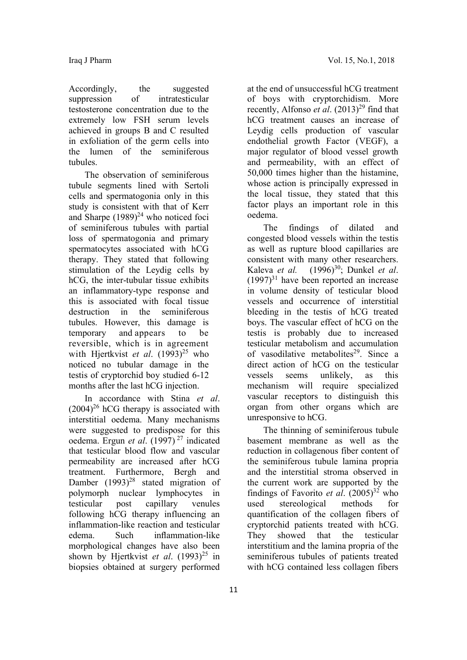Accordingly, the suggested suppression of intratesticular testosterone concentration due to the extremely low FSH serum levels achieved in groups B and C resulted in exfoliation of the germ cells into the lumen of the seminiferous tubules.

 The observation of seminiferous tubule segments lined with Sertoli cells and spermatogonia only in this study is consistent with that of Kerr and Sharpe  $(1989)^{24}$  who noticed foci of seminiferous tubules with partial loss of spermatogonia and primary spermatocytes associated with hCG therapy. They stated that following stimulation of the Leydig cells by hCG, the inter-tubular tissue exhibits an inflammatory-type response and this is associated with focal tissue destruction in the seminiferous tubules. However, this damage is temporary and appears to be reversible, which is in agreement with Hiertkvist et al.  $(1993)^{25}$  who noticed no tubular damage in the testis of cryptorchid boy studied 6-12 months after the last hCG injection.

In accordance with Stina et al.  $(2004)^{26}$  hCG therapy is associated with interstitial oedema. Many mechanisms were suggested to predispose for this oedema. Ergun et al. (1997)<sup>27</sup> indicated that testicular blood flow and vascular permeability are increased after hCG treatment. Furthermore, Bergh and Damber  $(1993)^{28}$  stated migration of polymorph nuclear lymphocytes in testicular post capillary venules following hCG therapy influencing an inflammation-like reaction and testicular edema. Such inflammation-like morphological changes have also been shown by Hjertkvist et al.  $(1993)^{25}$  in biopsies obtained at surgery performed

at the end of unsuccessful hCG treatment of boys with cryptorchidism. More recently, Alfonso *et al.*  $(2013)^{29}$  find that hCG treatment causes an increase of Leydig cells production of vascular endothelial growth Factor (VEGF), a major regulator of blood vessel growth and permeability, with an effect of 50,000 times higher than the histamine, whose action is principally expressed in the local tissue, they stated that this factor plays an important role in this oedema.

 The findings of dilated and congested blood vessels within the testis as well as rupture blood capillaries are consistent with many other researchers. Kaleva et al.  $(1996)^{30}$ ; Dunkel et al.  $(1997)^{31}$  have been reported an increase in volume density of testicular blood vessels and occurrence of interstitial bleeding in the testis of hCG treated boys. The vascular effect of hCG on the testis is probably due to increased testicular metabolism and accumulation of vasodilative metabolites<sup>29</sup>. Since a direct action of hCG on the testicular vessels seems unlikely, as this mechanism will require specialized vascular receptors to distinguish this organ from other organs which are unresponsive to hCG.

 The thinning of seminiferous tubule basement membrane as well as the reduction in collagenous fiber content of the seminiferous tubule lamina propria and the interstitial stroma observed in the current work are supported by the findings of Favorito *et al.*  $(2005)^{32}$  who used stereological methods for quantification of the collagen fibers of cryptorchid patients treated with hCG. They showed that the testicular interstitium and the lamina propria of the seminiferous tubules of patients treated with hCG contained less collagen fibers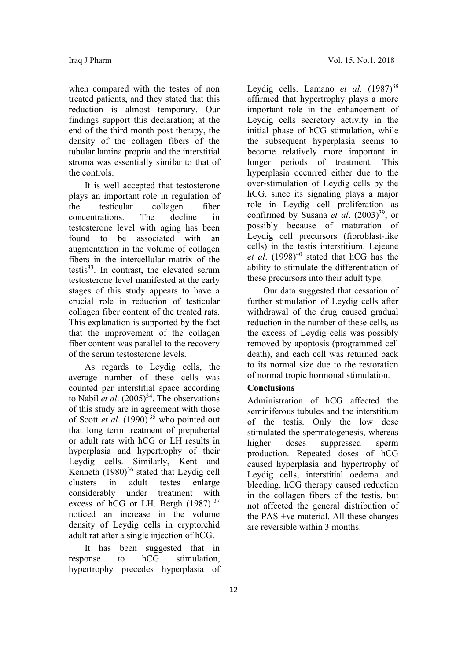when compared with the testes of non treated patients, and they stated that this reduction is almost temporary. Our findings support this declaration; at the end of the third month post therapy, the density of the collagen fibers of the tubular lamina propria and the interstitial stroma was essentially similar to that of the controls.

 It is well accepted that testosterone plays an important role in regulation of the testicular collagen fiber concentrations. The decline in testosterone level with aging has been found to be associated with an augmentation in the volume of collagen fibers in the intercellular matrix of the testis $33$ . In contrast, the elevated serum testosterone level manifested at the early stages of this study appears to have a crucial role in reduction of testicular collagen fiber content of the treated rats. This explanation is supported by the fact that the improvement of the collagen fiber content was parallel to the recovery of the serum testosterone levels.

 As regards to Leydig cells, the average number of these cells was counted per interstitial space according to Nabil *et al.*  $(2005)^{34}$ . The observations of this study are in agreement with those of Scott *et al.* (1990)<sup>35</sup> who pointed out that long term treatment of prepubertal or adult rats with hCG or LH results in hyperplasia and hypertrophy of their Leydig cells. Similarly, Kent and Kenneth  $(1980)^{36}$  stated that Leydig cell clusters in adult testes enlarge considerably under treatment with excess of hCG or LH. Bergh  $(1987)^{37}$ noticed an increase in the volume density of Leydig cells in cryptorchid adult rat after a single injection of hCG.

 It has been suggested that in response to hCG stimulation, hypertrophy precedes hyperplasia of

Leydig cells. Lamano et al.  $(1987)^{38}$ affirmed that hypertrophy plays a more important role in the enhancement of Leydig cells secretory activity in the initial phase of hCG stimulation, while the subsequent hyperplasia seems to become relatively more important in longer periods of treatment. This hyperplasia occurred either due to the over-stimulation of Leydig cells by the hCG, since its signaling plays a major role in Leydig cell proliferation as confirmed by Susana *et al.*  $(2003)^{39}$ , or possibly because of maturation of Leydig cell precursors (fibroblast-like cells) in the testis interstitium. Lejeune et al.  $(1998)^{40}$  stated that hCG has the ability to stimulate the differentiation of these precursors into their adult type.

 Our data suggested that cessation of further stimulation of Leydig cells after withdrawal of the drug caused gradual reduction in the number of these cells, as the excess of Leydig cells was possibly removed by apoptosis (programmed cell death), and each cell was returned back to its normal size due to the restoration of normal tropic hormonal stimulation.

#### Conclusions

Administration of hCG affected the seminiferous tubules and the interstitium of the testis. Only the low dose stimulated the spermatogenesis, whereas higher doses suppressed sperm production. Repeated doses of hCG caused hyperplasia and hypertrophy of Leydig cells, interstitial oedema and bleeding. hCG therapy caused reduction in the collagen fibers of the testis, but not affected the general distribution of the PAS +ve material. All these changes are reversible within 3 months.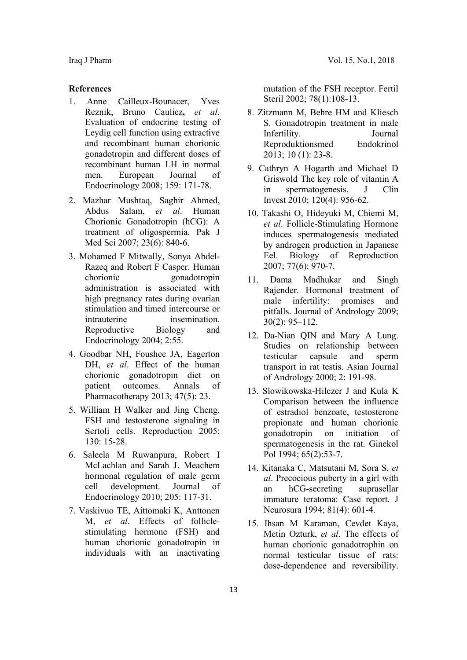#### References

- 1. Anne Cailleux-Bounacer, Yves Reznik, Bruno Cauliez, et al. Evaluation of endocrine testing of Leydig cell function using extractive and recombinant human chorionic gonadotropin and different doses of recombinant human LH in normal men. European Journal of Endocrinology 2008; 159: 171-78.
- 2. Mazhar Mushtaq, Saghir Ahmed, Abdus Salam, et al. Human Chorionic Gonadotropin (hCG): A treatment of oligospermia. Pak J Med Sci 2007; 23(6): 840-6.
- 3. Mohamed F Mitwally, Sonya Abdel-Razeq and Robert F Casper. Human chorionic gonadotropin administration is associated with high pregnancy rates during ovarian stimulation and timed intercourse or intrauterine insemination. Reproductive Biology and Endocrinology 2004; 2:55.
- 4. Goodbar NH, Foushee JA, Eagerton DH, et al. Effect of the human chorionic gonadotropin diet on patient outcomes. Annals of Pharmacotherapy 2013; 47(5): 23.
- 5. William H Walker and Jing Cheng. FSH and testosterone signaling in Sertoli cells. Reproduction 2005; 130: 15-28.
- 6. Saleela M Ruwanpura, Robert I McLachlan and Sarah J. Meachem hormonal regulation of male germ cell development. Journal of Endocrinology 2010; 205: 117-31.
- 7. Vaskivuo TE, Aittomaki K, Anttonen M, et al. Effects of folliclestimulating hormone (FSH) and human chorionic gonadotropin in individuals with an inactivating

mutation of the FSH receptor. Fertil Steril 2002; 78(1):108-13.

- 8. Zitzmann M, Behre HM and Kliesch S. Gonadotropin treatment in male Infertility. Journal Reproduktionsmed Endokrinol 2013; 10 (1): 23-8.
- 9. Cathryn A Hogarth and Michael D Griswold The key role of vitamin A in spermatogenesis. J Clin Invest 2010; 120(4): 956-62.
- 10. Takashi O, Hideyuki M, Chiemi M, et al. Follicle-Stimulating Hormone induces spermatogenesis mediated by androgen production in Japanese Eel. Biology of Reproduction 2007; 77(6): 970-7.
- 11. Dama Madhukar and Singh Rajender. Hormonal treatment of male infertility: promises and pitfalls. Journal of Andrology 2009; 30(2): 95–112.
- 12. Da-Nian QIN and Mary A Lung. Studies on relationship between testicular capsule and sperm transport in rat testis. Asian Journal of Andrology 2000; 2: 191-98.
- 13. Slowikowska-Hilczer J and Kula K Comparison between the influence of estradiol benzoate, testosterone propionate and human chorionic gonadotropin on initiation of spermatogenesis in the rat. Ginekol Pol 1994; 65(2):53-7.
- 14. Kitanaka C, Matsutani M, Sora S, et al. Precocious puberty in a girl with an hCG-secreting suprasellar immature teratoma: Case report. J Neurosura 1994; 81(4): 601-4.
- 15. Ihsan M Karaman, Cevdet Kaya, Metin Ozturk, et al. The effects of human chorionic gonadotrophin on normal testicular tissue of rats: dose-dependence and reversibility.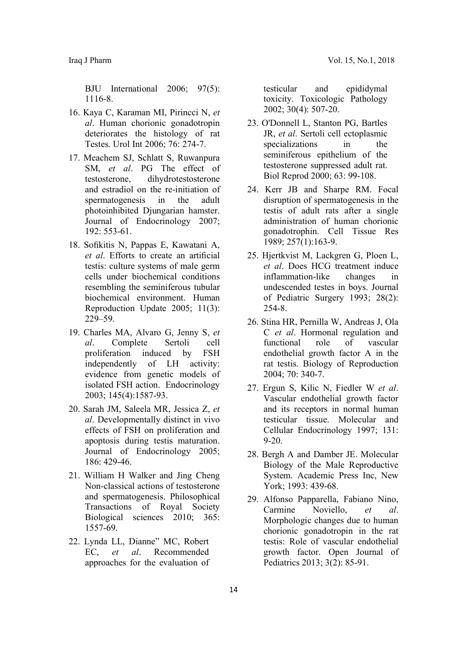BJU International 2006; 97(5): 1116-8.

- 16. Kaya C, Karaman MI, Pirincci N, et al. Human chorionic gonadotropin deteriorates the histology of rat Testes. Urol Int 2006; 76: 274-7.
- 17. Meachem SJ, Schlatt S, Ruwanpura SM, et al. PG The effect of testosterone, dihydrotestosterone and estradiol on the re-initiation of spermatogenesis in the adult photoinhibited Djungarian hamster. Journal of Endocrinology 2007; 192: 553-61.
- 18. Sofikitis N, Pappas E, Kawatani A, et al. Efforts to create an artificial testis: culture systems of male germ cells under biochemical conditions resembling the seminiferous tubular biochemical environment. Human Reproduction Update 2005; 11(3): 229–59.
- 19. Charles MA, Alvaro G, Jenny S, et al. Complete Sertoli cell proliferation induced by FSH independently of LH activity: evidence from genetic models of isolated FSH action. Endocrinology 2003; 145(4):1587-93.
- 20. Sarah JM, Saleela MR, Jessica Z, et al. Developmentally distinct in vivo effects of FSH on proliferation and apoptosis during testis maturation. Journal of Endocrinology 2005; 186: 429-46.
- 21. William H Walker and Jing Cheng Non-classical actions of testosterone and spermatogenesis. Philosophical Transactions of Royal Society Biological sciences 2010; 365: 1557-69.
- 22. Lynda LL, Dianne" MC, Robert EC, et al. Recommended approaches for the evaluation of

testicular and epididymal toxicity. Toxicologic Pathology 2002; 30(4): 507-20.

- 23. O'Donnell L, Stanton PG, Bartles JR, et al. Sertoli cell ectoplasmic specializations in the seminiferous epithelium of the testosterone suppressed adult rat. Biol Reprod 2000; 63: 99-108.
- 24. Kerr JB and Sharpe RM. Focal disruption of spermatogenesis in the testis of adult rats after a single administration of human chorionic gonadotrophin. Cell Tissue Res 1989; 257(1):163-9.
- 25. Hjertkvist M, Lackgren G, Ploen L, et al. Does HCG treatment induce inflammation-like changes in undescended testes in boys. Journal of Pediatric Surgery 1993; 28(2): 254-8.
- 26. Stina HR, Pernilla W, Andreas J, Ola C et al. Hormonal regulation and functional role of vascular endothelial growth factor A in the rat testis. Biology of Reproduction 2004; 70: 340-7.
- 27. Ergun S, Kilic N, Fiedler W et al. Vascular endothelial growth factor and its receptors in normal human testicular tissue. Molecular and Cellular Endocrinology 1997; 131: 9-20.
- 28. Bergh A and Damber JE. Molecular Biology of the Male Reproductive System. Academic Press Inc, New York; 1993: 439-68.
- 29. Alfonso Papparella, Fabiano Nino, Carmine Noviello, et al. Morphologic changes due to human chorionic gonadotropin in the rat testis: Role of vascular endothelial growth factor. Open Journal of Pediatrics 2013; 3(2): 85-91.